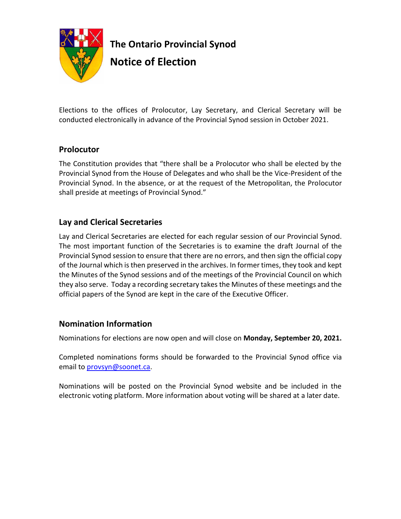

**The Ontario Provincial Synod Notice of Election**

Elections to the offices of Prolocutor, Lay Secretary, and Clerical Secretary will be conducted electronically in advance of the Provincial Synod session in October 2021.

# **Prolocutor**

The Constitution provides that "there shall be a Prolocutor who shall be elected by the Provincial Synod from the House of Delegates and who shall be the Vice-President of the Provincial Synod. In the absence, or at the request of the Metropolitan, the Prolocutor shall preside at meetings of Provincial Synod."

### **Lay and Clerical Secretaries**

Lay and Clerical Secretaries are elected for each regular session of our Provincial Synod. The most important function of the Secretaries is to examine the draft Journal of the Provincial Synod session to ensure that there are no errors, and then sign the official copy of the Journal which is then preserved in the archives. In former times, they took and kept the Minutes of the Synod sessions and of the meetings of the Provincial Council on which they also serve. Today a recording secretary takes the Minutes of these meetings and the official papers of the Synod are kept in the care of the Executive Officer.

# **Nomination Information**

Nominations for elections are now open and will close on **Monday, September 20, 2021.**

Completed nominations forms should be forwarded to the Provincial Synod office via email to [provsyn@soonet.ca.](mailto:provsyn@soonet.ca)

Nominations will be posted on the Provincial Synod website and be included in the electronic voting platform. More information about voting will be shared at a later date.